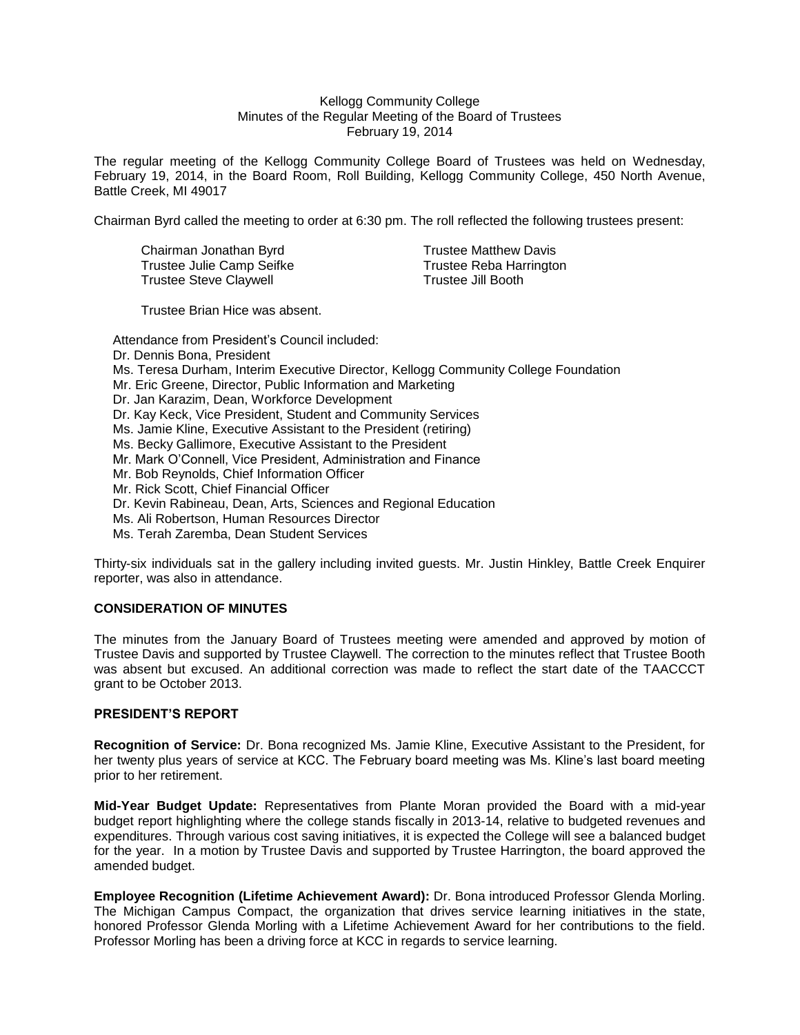#### Kellogg Community College Minutes of the Regular Meeting of the Board of Trustees February 19, 2014

The regular meeting of the Kellogg Community College Board of Trustees was held on Wednesday, February 19, 2014, in the Board Room, Roll Building, Kellogg Community College, 450 North Avenue, Battle Creek, MI 49017

Chairman Byrd called the meeting to order at 6:30 pm. The roll reflected the following trustees present:

Chairman Jonathan Byrd **Trustee Matthew Davis** Trustee Julie Camp Seifke Trustee Reba Harrington<br>Trustee Steve Claywell Trustee Jill Booth Trustee Steve Claywell

Trustee Brian Hice was absent.

Attendance from President's Council included: Dr. Dennis Bona, President Ms. Teresa Durham, Interim Executive Director, Kellogg Community College Foundation Mr. Eric Greene, Director, Public Information and Marketing Dr. Jan Karazim, Dean, Workforce Development Dr. Kay Keck, Vice President, Student and Community Services Ms. Jamie Kline, Executive Assistant to the President (retiring) Ms. Becky Gallimore, Executive Assistant to the President Mr. Mark O'Connell, Vice President, Administration and Finance Mr. Bob Reynolds, Chief Information Officer Mr. Rick Scott, Chief Financial Officer Dr. Kevin Rabineau, Dean, Arts, Sciences and Regional Education Ms. Ali Robertson, Human Resources Director Ms. Terah Zaremba, Dean Student Services

Thirty-six individuals sat in the gallery including invited guests. Mr. Justin Hinkley, Battle Creek Enquirer reporter, was also in attendance.

## **CONSIDERATION OF MINUTES**

The minutes from the January Board of Trustees meeting were amended and approved by motion of Trustee Davis and supported by Trustee Claywell. The correction to the minutes reflect that Trustee Booth was absent but excused. An additional correction was made to reflect the start date of the TAACCCT grant to be October 2013.

## **PRESIDENT'S REPORT**

**Recognition of Service:** Dr. Bona recognized Ms. Jamie Kline, Executive Assistant to the President, for her twenty plus years of service at KCC. The February board meeting was Ms. Kline's last board meeting prior to her retirement.

**Mid-Year Budget Update:** Representatives from Plante Moran provided the Board with a mid-year budget report highlighting where the college stands fiscally in 2013-14, relative to budgeted revenues and expenditures. Through various cost saving initiatives, it is expected the College will see a balanced budget for the year. In a motion by Trustee Davis and supported by Trustee Harrington, the board approved the amended budget.

**Employee Recognition (Lifetime Achievement Award):** Dr. Bona introduced Professor Glenda Morling. The Michigan Campus Compact, the organization that drives service learning initiatives in the state, honored Professor Glenda Morling with a Lifetime Achievement Award for her contributions to the field. Professor Morling has been a driving force at KCC in regards to service learning.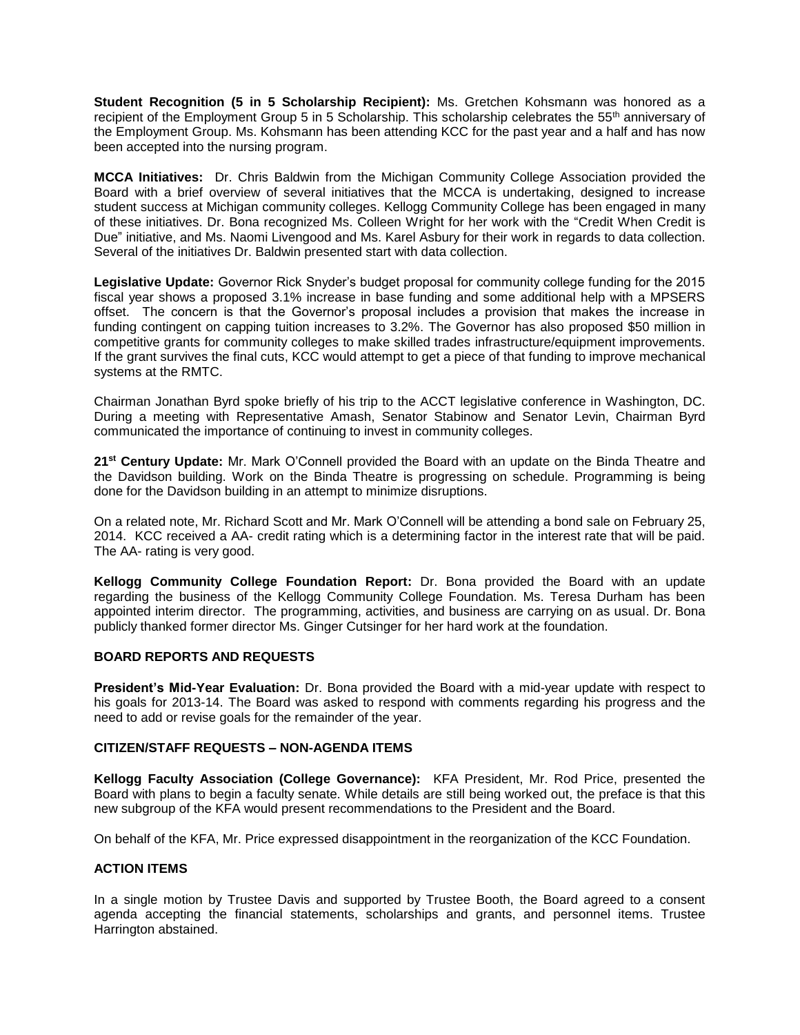**Student Recognition (5 in 5 Scholarship Recipient):** Ms. Gretchen Kohsmann was honored as a recipient of the Employment Group 5 in 5 Scholarship. This scholarship celebrates the 55<sup>th</sup> anniversary of the Employment Group. Ms. Kohsmann has been attending KCC for the past year and a half and has now been accepted into the nursing program.

**MCCA Initiatives:** Dr. Chris Baldwin from the Michigan Community College Association provided the Board with a brief overview of several initiatives that the MCCA is undertaking, designed to increase student success at Michigan community colleges. Kellogg Community College has been engaged in many of these initiatives. Dr. Bona recognized Ms. Colleen Wright for her work with the "Credit When Credit is Due" initiative, and Ms. Naomi Livengood and Ms. Karel Asbury for their work in regards to data collection. Several of the initiatives Dr. Baldwin presented start with data collection.

**Legislative Update:** Governor Rick Snyder's budget proposal for community college funding for the 2015 fiscal year shows a proposed 3.1% increase in base funding and some additional help with a MPSERS offset. The concern is that the Governor's proposal includes a provision that makes the increase in funding contingent on capping tuition increases to 3.2%. The Governor has also proposed \$50 million in competitive grants for community colleges to make skilled trades infrastructure/equipment improvements. If the grant survives the final cuts, KCC would attempt to get a piece of that funding to improve mechanical systems at the RMTC.

Chairman Jonathan Byrd spoke briefly of his trip to the ACCT legislative conference in Washington, DC. During a meeting with Representative Amash, Senator Stabinow and Senator Levin, Chairman Byrd communicated the importance of continuing to invest in community colleges.

**21st Century Update:** Mr. Mark O'Connell provided the Board with an update on the Binda Theatre and the Davidson building. Work on the Binda Theatre is progressing on schedule. Programming is being done for the Davidson building in an attempt to minimize disruptions.

On a related note, Mr. Richard Scott and Mr. Mark O'Connell will be attending a bond sale on February 25, 2014. KCC received a AA- credit rating which is a determining factor in the interest rate that will be paid. The AA- rating is very good.

**Kellogg Community College Foundation Report:** Dr. Bona provided the Board with an update regarding the business of the Kellogg Community College Foundation. Ms. Teresa Durham has been appointed interim director. The programming, activities, and business are carrying on as usual. Dr. Bona publicly thanked former director Ms. Ginger Cutsinger for her hard work at the foundation.

## **BOARD REPORTS AND REQUESTS**

**President's Mid-Year Evaluation:** Dr. Bona provided the Board with a mid-year update with respect to his goals for 2013-14. The Board was asked to respond with comments regarding his progress and the need to add or revise goals for the remainder of the year.

# **CITIZEN/STAFF REQUESTS – NON-AGENDA ITEMS**

**Kellogg Faculty Association (College Governance):** KFA President, Mr. Rod Price, presented the Board with plans to begin a faculty senate. While details are still being worked out, the preface is that this new subgroup of the KFA would present recommendations to the President and the Board.

On behalf of the KFA, Mr. Price expressed disappointment in the reorganization of the KCC Foundation.

## **ACTION ITEMS**

In a single motion by Trustee Davis and supported by Trustee Booth, the Board agreed to a consent agenda accepting the financial statements, scholarships and grants, and personnel items. Trustee Harrington abstained.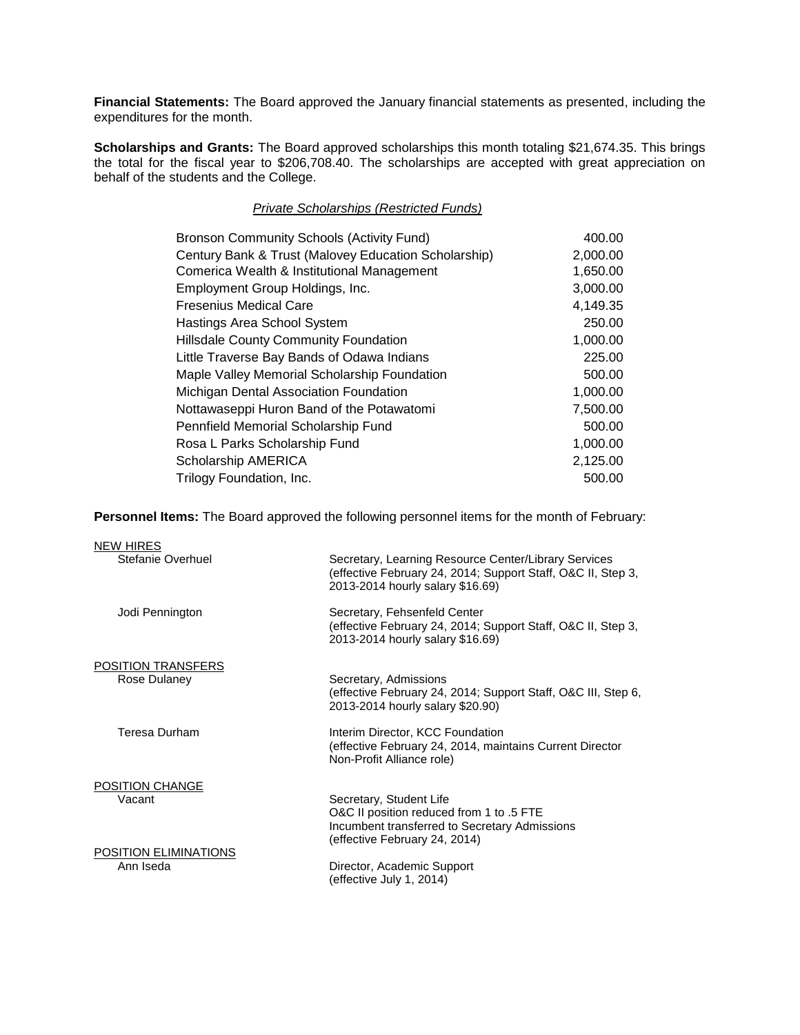**Financial Statements:** The Board approved the January financial statements as presented, including the expenditures for the month.

**Scholarships and Grants:** The Board approved scholarships this month totaling \$21,674.35. This brings the total for the fiscal year to \$206,708.40. The scholarships are accepted with great appreciation on behalf of the students and the College.

# *Private Scholarships (Restricted Funds)*

| Century Bank & Trust (Malovey Education Scholarship)<br>2,000.00 |  |
|------------------------------------------------------------------|--|
| Comerica Wealth & Institutional Management<br>1,650.00           |  |
| 3,000.00<br>Employment Group Holdings, Inc.                      |  |
| 4,149.35<br><b>Fresenius Medical Care</b>                        |  |
| 250.00<br>Hastings Area School System                            |  |
| 1,000.00<br><b>Hillsdale County Community Foundation</b>         |  |
| 225.00<br>Little Traverse Bay Bands of Odawa Indians             |  |
| 500.00<br>Maple Valley Memorial Scholarship Foundation           |  |
| 1,000.00<br>Michigan Dental Association Foundation               |  |
| 7,500.00<br>Nottawaseppi Huron Band of the Potawatomi            |  |
| 500.00<br>Pennfield Memorial Scholarship Fund                    |  |
| 1,000.00<br>Rosa L Parks Scholarship Fund                        |  |
| Scholarship AMERICA<br>2,125.00                                  |  |
| Trilogy Foundation, Inc.<br>500.00                               |  |

**Personnel Items:** The Board approved the following personnel items for the month of February:

| <b>NEW HIRES</b>          |                                                                                                                                                          |
|---------------------------|----------------------------------------------------------------------------------------------------------------------------------------------------------|
| Stefanie Overhuel         | Secretary, Learning Resource Center/Library Services<br>(effective February 24, 2014; Support Staff, O&C II, Step 3,<br>2013-2014 hourly salary \$16.69) |
| Jodi Pennington           | Secretary, Fehsenfeld Center<br>(effective February 24, 2014; Support Staff, O&C II, Step 3,<br>2013-2014 hourly salary \$16.69)                         |
| <b>POSITION TRANSFERS</b> |                                                                                                                                                          |
| Rose Dulaney              | Secretary, Admissions<br>(effective February 24, 2014; Support Staff, O&C III, Step 6,<br>2013-2014 hourly salary \$20.90)                               |
| Teresa Durham             | Interim Director, KCC Foundation<br>(effective February 24, 2014, maintains Current Director<br>Non-Profit Alliance role)                                |
| POSITION CHANGE           |                                                                                                                                                          |
| Vacant                    | Secretary, Student Life<br>O&C II position reduced from 1 to .5 FTE<br>Incumbent transferred to Secretary Admissions<br>(effective February 24, 2014)    |
| POSITION ELIMINATIONS     |                                                                                                                                                          |
| Ann Iseda                 | Director, Academic Support<br>(effective July 1, 2014)                                                                                                   |